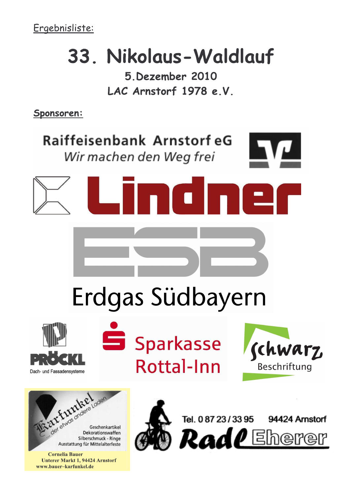## 33. Nikolaus-Waldlauf

5 Dezember 2010 LAC Arnstorf 1978 e.V.

Sponsoren:

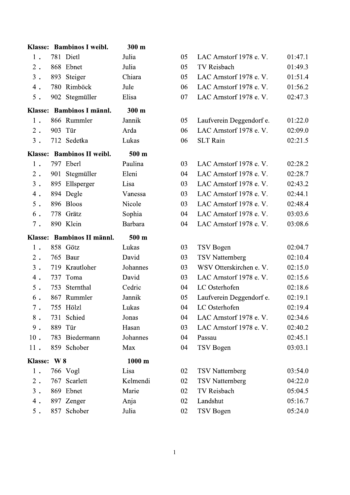|             | Klasse: Bambinos I weibl.  | 300 m            |    |                          |         |
|-------------|----------------------------|------------------|----|--------------------------|---------|
| 1.          | 781 Dietl                  | Julia            | 05 | LAC Arnstorf 1978 e.V.   | 01:47.1 |
| $2$ .       | 868 Ebnet                  | Julia            | 05 | TV Reisbach              | 01:49.3 |
| $3$ .       | 893<br>Steiger             | Chiara           | 05 | LAC Arnstorf 1978 e.V.   | 01:51.4 |
| 4.          | Rimböck<br>780             | Jule             | 06 | LAC Arnstorf 1978 e.V.   | 01:56.2 |
| $5$ .       | 902 Stegmüller             | Elisa            | 07 | LAC Arnstorf 1978 e.V.   | 02:47.3 |
|             | Klasse: Bambinos I männl.  | 300 m            |    |                          |         |
| 1.          | 866 Rummler                | Jannik           | 05 | Laufverein Deggendorf e. | 01:22.0 |
| $2$ .       | Tür<br>903                 | Arda             | 06 | LAC Arnstorf 1978 e.V.   | 02:09.0 |
| $3$ .       | 712 Sedetka                | Lukas            | 06 | <b>SLT</b> Rain          | 02:21.5 |
|             | Klasse: Bambinos II weibl. | 500 m            |    |                          |         |
| 1.          | 797 Eberl                  | Paulina          | 03 | LAC Arnstorf 1978 e.V.   | 02:28.2 |
| $2$ .       | 901 Stegmüller             | Eleni            | 04 | LAC Arnstorf 1978 e.V.   | 02:28.7 |
| $3$ .       | Ellsperger<br>895          | Lisa             | 03 | LAC Arnstorf 1978 e.V.   | 02:43.2 |
| 4.          | 894 Degle                  | Vanessa          | 03 | LAC Arnstorf 1978 e.V.   | 02:44.1 |
| $5$ .       | 896 Bloos                  | Nicole           | 03 | LAC Arnstorf 1978 e.V.   | 02:48.4 |
| 6.          | 778 Grätz                  | Sophia           | 04 | LAC Arnstorf 1978 e.V.   | 03:03.6 |
| $7$ .       | 890 Klein                  | Barbara          | 04 | LAC Arnstorf 1978 e.V.   | 03:08.6 |
|             |                            |                  |    |                          |         |
|             | Klasse: Bambinos II männl. | 500 m            |    |                          |         |
| 1.          | 858 Götz                   | Lukas            | 03 | TSV Bogen                | 02:04.7 |
| $2$ .       | 765 Baur                   | David            | 03 | <b>TSV Natternberg</b>   | 02:10.4 |
| $3$ .       | 719 Krautloher             | Johannes         | 03 | WSV Otterskirchen e. V.  | 02:15.0 |
| $4$ .       | 737<br>Toma                | David            | 03 | LAC Arnstorf 1978 e.V.   | 02:15.6 |
| $5$ .       | Sternthal<br>753           | Cedric           | 04 | LC Osterhofen            | 02:18.6 |
| 6.          | 867 Rummler                | Jannik           | 05 | Laufverein Deggendorf e. | 02:19.1 |
| $7$ .       | 755 Hölzl                  | Lukas            | 04 | LC Osterhofen            | 02:19.4 |
| $8$ .       | 731 Schied                 | Jonas            | 04 | LAC Arnstorf 1978 e.V.   | 02:34.6 |
| $9$ .       | 889 Tür                    | Hasan            | 03 | LAC Arnstorf 1978 e.V.   | 02:40.2 |
| $10$ .      | 783 Biedermann             | Johannes         | 04 | Passau                   | 02:45.1 |
| 11.         | 859 Schober                | Max              | 04 | TSV Bogen                | 03:03.1 |
| Klasse: W 8 |                            | $1000 \text{ m}$ |    |                          |         |
| $1$ .       | 766 Vogl                   | Lisa             | 02 | <b>TSV</b> Natternberg   | 03:54.0 |
| $2$ .       | 767 Scarlett               | Kelmendi         | 02 | <b>TSV</b> Natternberg   | 04:22.0 |
| $3$ .       | 869 Ebnet                  | Marie            | 02 | TV Reisbach              | 05:04.5 |
| 4.          | 897 Zenger                 | Anja             | 02 | Landshut                 | 05:16.7 |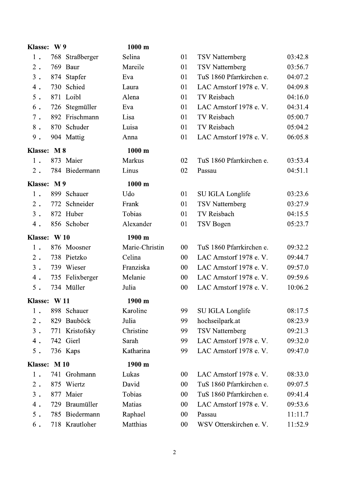| <b>Klasse:</b> | <b>W9</b> |                 | 1000 m         |    |                          |         |
|----------------|-----------|-----------------|----------------|----|--------------------------|---------|
| 1.             |           | 768 Straßberger | Selina         | 01 | <b>TSV</b> Natternberg   | 03:42.8 |
| $2$ .          | 769       | Baur            | Mareile        | 01 | <b>TSV</b> Natternberg   | 03:56.7 |
| $3$ .          | 874       | Stapfer         | Eva            | 01 | TuS 1860 Pfarrkirchen e. | 04:07.2 |
| 4.             | 730       | Schied          | Laura          | 01 | LAC Arnstorf 1978 e.V.   | 04:09.8 |
| $5$ .          | 871 Loibl |                 | Alena          | 01 | TV Reisbach              | 04:16.0 |
| 6.             | 726       | Stegmüller      | Eva            | 01 | LAC Arnstorf 1978 e.V.   | 04:31.4 |
| $7$ .          |           | 892 Frischmann  | Lisa           | 01 | TV Reisbach              | 05:00.7 |
| $8$ .          |           | 870 Schuder     | Luisa          | 01 | TV Reisbach              | 05:04.2 |
| $9$ .          |           | 904 Mattig      | Anna           | 01 | LAC Arnstorf 1978 e.V.   | 06:05.8 |
| Klasse: M 8    |           |                 | 1000 m         |    |                          |         |
| 1.             | 873 Maier |                 | Markus         | 02 | TuS 1860 Pfarrkirchen e. | 03:53.4 |
| $2$ .          |           | 784 Biedermann  | Linus          | 02 | Passau                   | 04:51.1 |
| Klasse: M 9    |           |                 | 1000 m         |    |                          |         |
| 1.             |           | 899 Schauer     | Udo            | 01 | SU IGLA Longlife         | 03:23.6 |
| $2$ .          | 772       | Schneider       | Frank          | 01 | <b>TSV</b> Natternberg   | 03:27.9 |
| $3$ .          |           | 872 Huber       | Tobias         | 01 | TV Reisbach              | 04:15.5 |
| 4.             |           | 856 Schober     | Alexander      | 01 | TSV Bogen                | 05:23.7 |
| <b>Klasse:</b> | W10       |                 | 1900 m         |    |                          |         |
| 1.             |           | 876 Moosner     | Marie-Christin | 00 | TuS 1860 Pfarrkirchen e. | 09:32.2 |
| $2$ .          |           | 738 Pietzko     | Celina         | 00 | LAC Arnstorf 1978 e.V.   | 09:44.7 |
| $3$ .          |           | 739 Wieser      | Franziska      | 00 | LAC Arnstorf 1978 e.V.   | 09:57.0 |
| 4.             |           | 735 Felixberger | Melanie        | 00 | LAC Arnstorf 1978 e.V.   | 09:59.6 |
| $5$ .          |           | 734 Müller      | Julia          | 00 | LAC Arnstorf 1978 e.V.   | 10:06.2 |
| Klasse: W11    |           |                 | 1900 m         |    |                          |         |
| 1.             |           | 898 Schauer     | Karoline       | 99 | SU IGLA Longlife         | 08:17.5 |
| $2$ .          |           | 829 Bauböck     | Julia          | 99 | hochseilpark.at          | 08:23.9 |
| $3$ .          |           | 771 Kristofsky  | Christine      | 99 | <b>TSV Natternberg</b>   | 09:21.3 |
| 4.             | 742 Gierl |                 | Sarah          | 99 | LAC Arnstorf 1978 e.V.   | 09:32.0 |
| $5$ .          | 736 Kaps  |                 | Katharina      | 99 | LAC Arnstorf 1978 e.V.   | 09:47.0 |
| Klasse: M 10   |           |                 | 1900 m         |    |                          |         |
| 1.             |           | 741 Grohmann    | Lukas          | 00 | LAC Arnstorf 1978 e.V.   | 08:33.0 |
| $2$ .          | 875       | Wiertz          | David          | 00 | TuS 1860 Pfarrkirchen e. | 09:07.5 |
| $3$ .          | 877 Maier |                 | Tobias         | 00 | TuS 1860 Pfarrkirchen e. | 09:41.4 |
| 4.             | 729       | Braumüller      | Matias         | 00 | LAC Arnstorf 1978 e.V.   | 09:53.6 |
| $5$ .          |           | 785 Biedermann  | Raphael        | 00 | Passau                   | 11:11.7 |
| 6.             |           | 718 Krautloher  | Matthias       | 00 | WSV Otterskirchen e. V.  | 11:52.9 |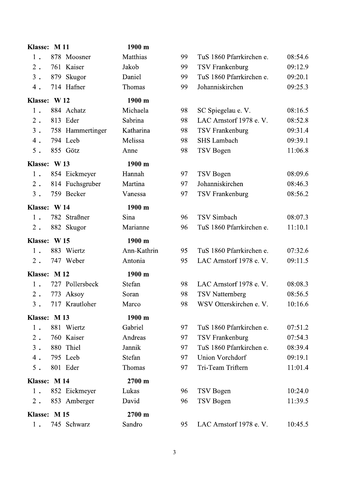| Klasse: M11  |                  | 1900 m      |    |                          |         |
|--------------|------------------|-------------|----|--------------------------|---------|
| 1.           | 878 Moosner      | Matthias    | 99 | TuS 1860 Pfarrkirchen e. | 08:54.6 |
| $2$ .        | 761 Kaiser       | Jakob       | 99 | TSV Frankenburg          | 09:12.9 |
| $3$ .        | 879 Skugor       | Daniel      | 99 | TuS 1860 Pfarrkirchen e. | 09:20.1 |
| $4$ .        | 714 Hafner       | Thomas      | 99 | Johanniskirchen          | 09:25.3 |
| Klasse: W12  |                  | 1900 m      |    |                          |         |
| 1.           | 884 Achatz       | Michaela    | 98 | SC Spiegelau e. V.       | 08:16.5 |
| $2$ .        | 813 Eder         | Sabrina     | 98 | LAC Arnstorf 1978 e.V.   | 08:52.8 |
| $3$ .        | 758 Hammertinger | Katharina   | 98 | TSV Frankenburg          | 09:31.4 |
| 4.           | 794 Leeb         | Melissa     | 98 | <b>SHS Lambach</b>       | 09:39.1 |
| $5$ .        | 855 Götz         | Anne        | 98 | TSV Bogen                | 11:06.8 |
| Klasse: W13  |                  | 1900 m      |    |                          |         |
| 1.           | 854 Eickmeyer    | Hannah      | 97 | TSV Bogen                | 08:09.6 |
| $2$ .        | 814 Fuchsgruber  | Martina     | 97 | Johanniskirchen          | 08:46.3 |
| $3$ .        | 759 Becker       | Vanessa     | 97 | <b>TSV Frankenburg</b>   | 08:56.2 |
| Klasse: W14  |                  | 1900 m      |    |                          |         |
| 1.           | 782 Straßner     | Sina        | 96 | <b>TSV</b> Simbach       | 08:07.3 |
| $2$ .        | 882 Skugor       | Marianne    | 96 | TuS 1860 Pfarrkirchen e. | 11:10.1 |
| Klasse: W15  |                  | 1900 m      |    |                          |         |
| 1.           | 883 Wiertz       | Ann-Kathrin | 95 | TuS 1860 Pfarrkirchen e. | 07:32.6 |
| $2$ .        | 747 Weber        | Antonia     | 95 | LAC Arnstorf 1978 e.V.   | 09:11.5 |
| Klasse: M12  |                  | 1900 m      |    |                          |         |
| 1.           | 727 Pollersbeck  | Stefan      | 98 | LAC Arnstorf 1978 e.V.   | 08:08.3 |
| $2$ .        | 773 Aksoy        | Soran       | 98 | <b>TSV</b> Natternberg   | 08:56.5 |
| $3$ .        | 717 Krautloher   | Marco       | 98 | WSV Otterskirchen e. V.  | 10:16.6 |
| Klasse: M 13 |                  | 1900 m      |    |                          |         |
| 1.           | 881 Wiertz       | Gabriel     | 97 | TuS 1860 Pfarrkirchen e. | 07:51.2 |
| $2$ .        | 760 Kaiser       | Andreas     | 97 | TSV Frankenburg          | 07:54.3 |
| $3$ .        | 880 Thiel        | Jannik      | 97 | TuS 1860 Pfarrkirchen e. | 08:39.4 |
| $4$ .        | 795 Leeb         | Stefan      | 97 | Union Vorchdorf          | 09:19.1 |
| $5$ .        | 801 Eder         | Thomas      | 97 | Tri-Team Triftern        | 11:01.4 |
| Klasse: M 14 |                  | 2700 m      |    |                          |         |
| 1.           | 852 Eickmeyer    | Lukas       | 96 | TSV Bogen                | 10:24.0 |
| $2$ .        | 853 Amberger     | David       | 96 | TSV Bogen                | 11:39.5 |
| Klasse: M 15 |                  | 2700 m      |    |                          |         |
|              |                  |             |    |                          |         |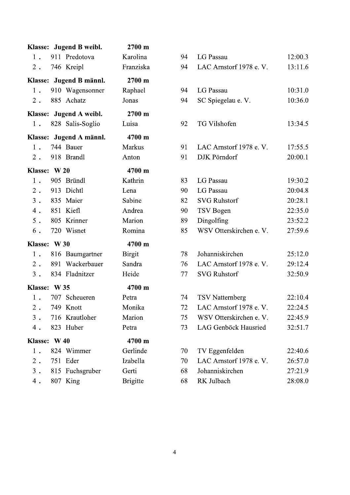|              | Klasse: Jugend B weibl. | 2700 m          |
|--------------|-------------------------|-----------------|
| 1.           | 911 Predotova           | Karolina        |
|              | 2. 746 Kreipl           | Franziska       |
|              | Klasse: Jugend B männl. | 2700 m          |
| 1.           | 910 Wagensonner         | Raphael         |
| $2$ .        | 885 Achatz              | Jonas           |
|              | Klasse: Jugend A weibl. | 2700 m          |
| 1.           | 828 Salis-Soglio        | Luisa           |
|              | Klasse: Jugend A männl. | 4700 m          |
| 1.           | 744 Bauer               | Markus          |
| $2$ .        | 918 Brandl              | Anton           |
| Klasse: W 20 |                         | 4700 m          |
| 1.           | 905 Bründl              | Kathrin         |
| $2$ .        | 913 Dichtl              | Lena            |
|              | 3. 835 Maier            | Sabine          |
|              | 4. 851 Kiefl            | Andrea          |
| $5$ .        | 805 Krinner             | Marion          |
| $6$ .        | 720 Wisnet              | Romina          |
| Klasse: W 30 |                         | 4700 m          |
| 1.           | 816 Baumgartner         | <b>Birgit</b>   |
| 2.           | 891 Wackerbauer         | Sandra          |
| $3$ .        | 834 Fladnitzer          | Heide           |
| Klasse: W 35 |                         | 4700 m          |
|              | 1. 707 Scheueren        | Petra           |
|              | 2. 749 Knott            | Monika          |
| $3$ .        | 716 Krautloher          | Marion          |
| $4$ .        | 823 Huber               | Petra           |
| Klasse: W 40 |                         | 4700 m          |
| 1.           | 824 Wimmer              | Gerlinde        |
| $2$ .        | 751 Eder                | Izabella        |
| $3$ .        | 815 Fuchsgruber         | Gerti           |
| 4.           | 807 King                | <b>Brigitte</b> |

| 94 | LG Passau               | 12:00.3 |
|----|-------------------------|---------|
| 94 | LAC Arnstorf 1978 e.V.  | 13:11.6 |
|    |                         |         |
| 94 | LG Passau               | 10:31.0 |
| 94 | SC Spiegelau e. V.      | 10:36.0 |
|    |                         |         |
| 92 | TG Vilshofen            | 13:34.5 |
|    |                         |         |
| 91 | LAC Arnstorf 1978 e.V.  | 17:55.5 |
| 91 | DJK Pörndorf            | 20:00.1 |
|    |                         |         |
| 83 | LG Passau               | 19:30.2 |
| 90 | LG Passau               | 20:04.8 |
| 82 | <b>SVG Ruhstorf</b>     | 20:28.1 |
| 90 | TSV Bogen               | 22:35.0 |
| 89 | Dingolfing              | 23:52.2 |
| 85 | WSV Otterskirchen e. V. | 27:59.6 |
|    |                         |         |
| 78 | Johanniskirchen         | 25:12.0 |
| 76 | LAC Arnstorf 1978 e.V.  | 29:12.4 |
| 77 | <b>SVG Ruhstorf</b>     | 32:50.9 |
|    |                         |         |
| 74 | <b>TSV Natternberg</b>  | 22:10.4 |
| 72 | LAC Arnstorf 1978 e.V.  | 22:24.5 |
| 75 | WSV Otterskirchen e. V. | 22:45.9 |
| 73 | LAG Genböck Hausried    | 32:51.7 |
|    |                         |         |
| 70 | TV Eggenfelden          | 22:40.6 |
| 70 | LAC Arnstorf 1978 e.V.  | 26:57.0 |
| 68 | Johanniskirchen         | 27:21.9 |
| 68 | RK Julbach              | 28:08.0 |
|    |                         |         |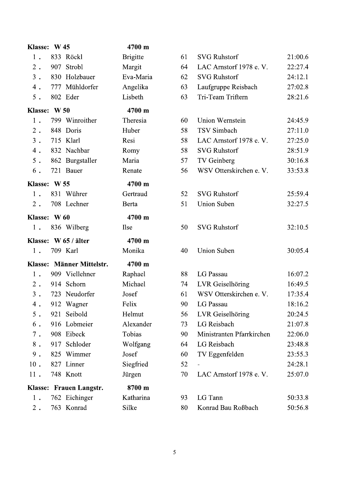| Klasse: W 45 |     |                           | 4700 m          |    |                           |
|--------------|-----|---------------------------|-----------------|----|---------------------------|
| 1.           |     | 833 Röckl                 | <b>Brigitte</b> | 61 | <b>SVG Ruhstorf</b>       |
| $2$ .        | 907 | Strobl                    | Margit          | 64 | LAC Arnstorf 1978 e.V.    |
| $3$ .        |     | 830 Holzbauer             | Eva-Maria       | 62 | <b>SVG Ruhstorf</b>       |
| 4.           |     | 777 Mühldorfer            | Angelika        | 63 | Laufgruppe Reisbach       |
| $5$ .        |     | 802 Eder                  | Lisbeth         | 63 | Tri-Team Triftern         |
| Klasse: W 50 |     |                           | 4700 m          |    |                           |
| 1.           |     | 799 Winroither            | Theresia        | 60 | Union Wernstein           |
| $2$ .        |     | 848 Doris                 | Huber           | 58 | <b>TSV</b> Simbach        |
| $3$ .        |     | 715 Klarl                 | Resi            | 58 | LAC Arnstorf 1978 e.V.    |
| 4.           |     | 832 Nachbar               | Romy            | 58 | <b>SVG Ruhstorf</b>       |
| $5$ .        |     | 862 Burgstaller           | Maria           | 57 | TV Geinberg               |
| 6.           |     | 721 Bauer                 | Renate          | 56 | WSV Otterskirchen e. V.   |
| Klasse: W 55 |     |                           | 4700 m          |    |                           |
| $1$ .        |     | 831 Wührer                | Gertraud        | 52 | <b>SVG Ruhstorf</b>       |
| 2.           |     | 708 Lechner               | Berta           | 51 | <b>Union Suben</b>        |
| Klasse: W 60 |     |                           | 4700 m          |    |                           |
| 1.           |     | 836 Wilberg               | <b>Ilse</b>     | 50 | <b>SVG Ruhstorf</b>       |
|              |     | Klasse: W 65 / älter      | 4700 m          |    |                           |
| 1.           |     | 709 Karl                  | Monika          | 40 | <b>Union Suben</b>        |
|              |     | Klasse: Männer Mittelstr. | 4700 m          |    |                           |
| 1.           |     | 909 Viellehner            | Raphael         | 88 | LG Passau                 |
| 2.           |     | 914 Schorn                | Michael         | 74 | LVR Geiselhöring          |
| $3$ .        |     | 723 Neudorfer             | Josef           | 61 | WSV Otterskirchen e. V.   |
| 4.           |     | 912 Wagner                | Felix           | 90 | LG Passau                 |
| $5$ .        |     | 921 Seibold               | Helmut          | 56 | LVR Geiselhöring          |
| $6$ .        |     | 916 Lobmeier              | Alexander       | 73 | LG Reisbach               |
| $7$ .        |     | 908 Eibeck                | Tobias          | 90 | Ministranten Pfarrkirchen |
| $8$ .        |     | 917 Schloder              | Wolfgang        | 64 | LG Reisbach               |
| $9$ .        |     | 825 Wimmer                | Josef           | 60 | TV Eggenfelden            |
| $10$ .       |     | 827 Linner                | Siegfried       | 52 |                           |
| 11.          |     | 748 Knott                 | Jürgen          | 70 | LAC Arnstorf 1978 e.V.    |
|              |     | Klasse: Frauen Langstr.   | 8700 m          |    |                           |
| 1.           |     | 762 Eichinger             | Katharina       | 93 | LG Tann                   |
| $2$ .        |     | 763 Konrad                | Silke           | 80 | Konrad Bau Roßbach        |

21:00.6 22:27.4 24:12.1 27:02.8 28:21.6

24:45.9 27:11.0 27:25.0 28:51.9  $30:16.8$ 33:53.8

25:59.4 32:27.5

32:10.5

30:05.4

16:07.2 16:49.5 17:35.4 18:16.2 20:24.5 21:07.8 22:06.0 23:48.8 23:55.3 24:28.1 25:07.0

50:33.8 50:56.8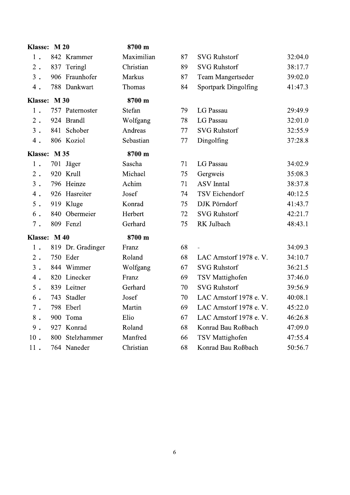| Klasse: M 20 |     |                   | 8700 m     |    |                        |         |
|--------------|-----|-------------------|------------|----|------------------------|---------|
| 1.           |     | 842 Krammer       | Maximilian | 87 | <b>SVG Ruhstorf</b>    | 32:04.0 |
| $2$ .        |     | 837 Teringl       | Christian  | 89 | <b>SVG Ruhstorf</b>    | 38:17.7 |
| $3$ .        |     | 906 Fraunhofer    | Markus     | 87 | Team Mangertseder      | 39:02.0 |
| $4$ .        |     | 788 Dankwart      | Thomas     | 84 | Sportpark Dingolfing   | 41:47.3 |
| Klasse: M 30 |     |                   | 8700 m     |    |                        |         |
| 1.           |     | 757 Paternoster   | Stefan     | 79 | LG Passau              | 29:49.9 |
| $2$ .        |     | 924 Brandl        | Wolfgang   | 78 | LG Passau              | 32:01.0 |
| $3$ .        |     | 841 Schober       | Andreas    | 77 | <b>SVG Ruhstorf</b>    | 32:55.9 |
| $4$ .        |     | 806 Koziol        | Sebastian  | 77 | Dingolfing             | 37:28.8 |
| Klasse: M 35 |     |                   | 8700 m     |    |                        |         |
| 1.           |     | 701 Jäger         | Sascha     | 71 | LG Passau              | 34:02.9 |
| $2$ .        |     | 920 Krull         | Michael    | 75 | Gergweis               | 35:08.3 |
| $3$ .        |     | 796 Heinze        | Achim      | 71 | <b>ASV</b> Inntal      | 38:37.8 |
| $4$ .        |     | 926 Hasreiter     | Josef      | 74 | <b>TSV</b> Eichendorf  | 40:12.5 |
| 5.           |     | 919 Kluge         | Konrad     | 75 | DJK Pörndorf           | 41:43.7 |
| 6.           |     | 840 Obermeier     | Herbert    | 72 | <b>SVG Ruhstorf</b>    | 42:21.7 |
| $7$ .        |     | 809 Fenzl         | Gerhard    | 75 | RK Julbach             | 48:43.1 |
| Klasse: M 40 |     |                   | 8700 m     |    |                        |         |
| 1.           |     | 819 Dr. Gradinger | Franz      | 68 |                        | 34:09.3 |
| $2$ .        |     | 750 Eder          | Roland     | 68 | LAC Arnstorf 1978 e.V. | 34:10.7 |
| $3$ .        |     | 844 Wimmer        | Wolfgang   | 67 | <b>SVG Ruhstorf</b>    | 36:21.5 |
| $4$ .        |     | 820 Linecker      | Franz      | 69 | <b>TSV</b> Mattighofen | 37:46.0 |
| $5$ .        |     | 839 Leitner       | Gerhard    | 70 | <b>SVG Ruhstorf</b>    | 39:56.9 |
| 6.           | 743 | Stadler           | Josef      | 70 | LAC Arnstorf 1978 e.V. | 40:08.1 |
| $7$ .        |     | 798 Eberl         | Martin     | 69 | LAC Arnstorf 1978 e.V. | 45:22.0 |
| $8$ .        | 900 | Toma              | Elio       | 67 | LAC Arnstorf 1978 e.V. | 46:26.8 |
| $9$ .        |     | 927 Konrad        | Roland     | 68 | Konrad Bau Roßbach     | 47:09.0 |
| $10$ .       |     | 800 Stelzhammer   | Manfred    | 66 | <b>TSV</b> Mattighofen | 47:55.4 |
| 11.          |     | 764 Naneder       | Christian  | 68 | Konrad Bau Roßbach     | 50:56.7 |